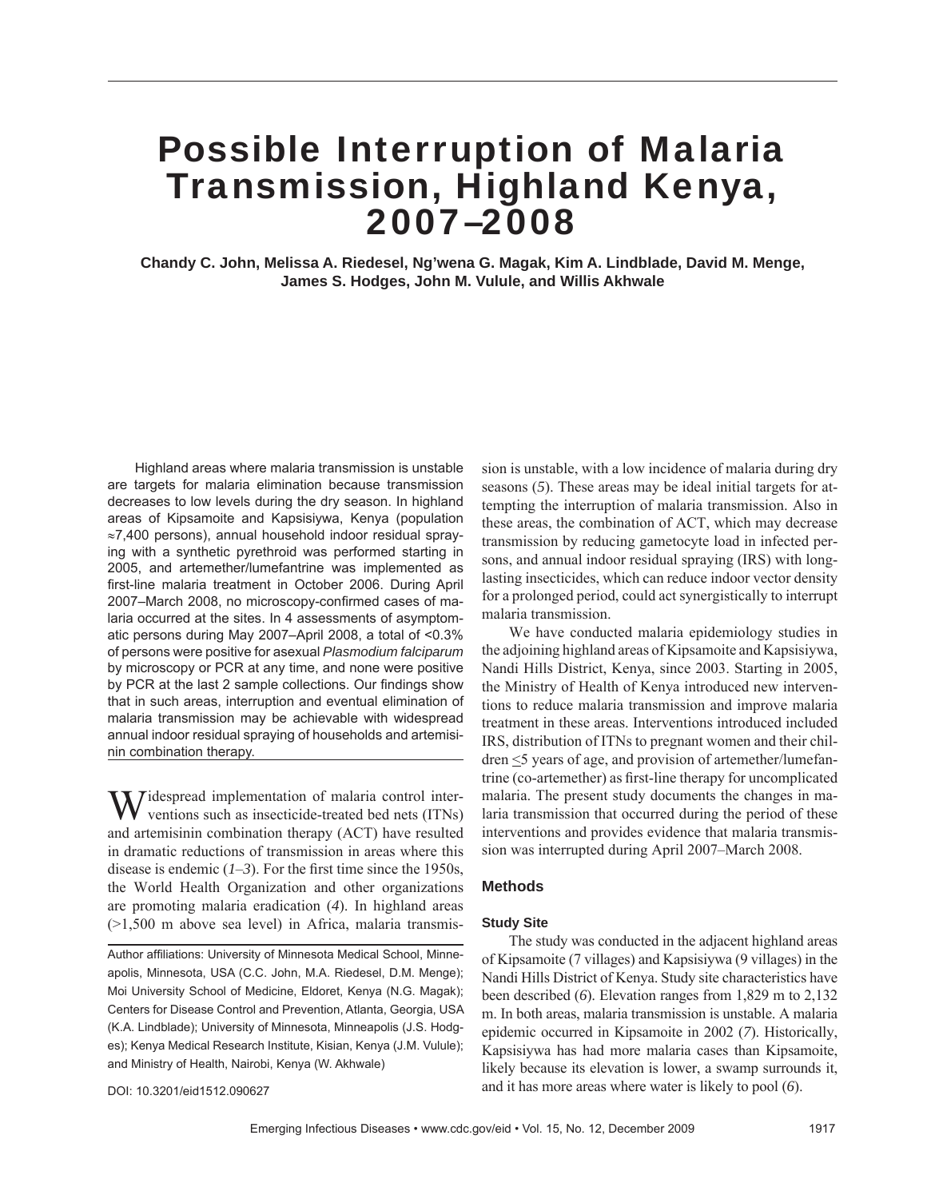# Possible Interruption of Malaria Transmission, Highland Kenya, 2007–2008

**Chandy C. John, Melissa A. Riedesel, Ng'wena G. Magak, Kim A. Lindblade, David M. Menge, James S. Hodges, John M. Vulule, and Willis Akhwale**

Highland areas where malaria transmission is unstable are targets for malaria elimination because transmission decreases to low levels during the dry season. In highland areas of Kipsamoite and Kapsisiywa, Kenya (population ≈7,400 persons), annual household indoor residual spraying with a synthetic pyrethroid was performed starting in 2005, and artemether/lumefantrine was implemented as first-line malaria treatment in October 2006. During April 2007–March 2008, no microscopy-confirmed cases of malaria occurred at the sites. In 4 assessments of asymptomatic persons during May 2007–April 2008, a total of <0.3% of persons were positive for asexual *Plasmodium falciparum* by microscopy or PCR at any time, and none were positive by PCR at the last 2 sample collections. Our findings show that in such areas, interruption and eventual elimination of malaria transmission may be achievable with widespread annual indoor residual spraying of households and artemisinin combination therapy.

 $\overline{I}$  idespread implementation of malaria control interventions such as insecticide-treated bed nets (ITNs) and artemisinin combination therapy (ACT) have resulted in dramatic reductions of transmission in areas where this disease is endemic  $(1-3)$ . For the first time since the 1950s, the World Health Organization and other organizations are promoting malaria eradication (*4*). In highland areas  $(>1,500$  m above sea level) in Africa, malaria transmis-

DOI: 10.3201/eid1512.090627

sion is unstable, with a low incidence of malaria during dry seasons (*5*). These areas may be ideal initial targets for attempting the interruption of malaria transmission. Also in these areas, the combination of ACT, which may decrease transmission by reducing gametocyte load in infected persons, and annual indoor residual spraying (IRS) with longlasting insecticides, which can reduce indoor vector density for a prolonged period, could act synergistically to interrupt malaria transmission.

We have conducted malaria epidemiology studies in the adjoining highland areas of Kipsamoite and Kapsisiywa, Nandi Hills District, Kenya, since 2003. Starting in 2005, the Ministry of Health of Kenya introduced new interventions to reduce malaria transmission and improve malaria treatment in these areas. Interventions introduced included IRS, distribution of ITNs to pregnant women and their children <5 years of age, and provision of artemether/lumefantrine (co-artemether) as first-line therapy for uncomplicated malaria. The present study documents the changes in malaria transmission that occurred during the period of these interventions and provides evidence that malaria transmission was interrupted during April 2007–March 2008.

#### **Methods**

#### **Study Site**

The study was conducted in the adjacent highland areas of Kipsamoite (7 villages) and Kapsisiywa (9 villages) in the Nandi Hills District of Kenya. Study site characteristics have been described (*6*). Elevation ranges from 1,829 m to 2,132 m. In both areas, malaria transmission is unstable. A malaria epidemic occurred in Kipsamoite in 2002 (*7*). Historically, Kapsisiywa has had more malaria cases than Kipsamoite, likely because its elevation is lower, a swamp surrounds it, and it has more areas where water is likely to pool (*6*).

Author affiliations: University of Minnesota Medical School, Minneapolis, Minnesota, USA (C.C. John, M.A. Riedesel, D.M. Menge); Moi University School of Medicine, Eldoret, Kenya (N.G. Magak); Centers for Disease Control and Prevention, Atlanta, Georgia, USA (K.A. Lindblade); University of Minnesota, Minneapolis (J.S. Hodges); Kenya Medical Research Institute, Kisian, Kenya (J.M. Vulule); and Ministry of Health, Nairobi, Kenya (W. Akhwale)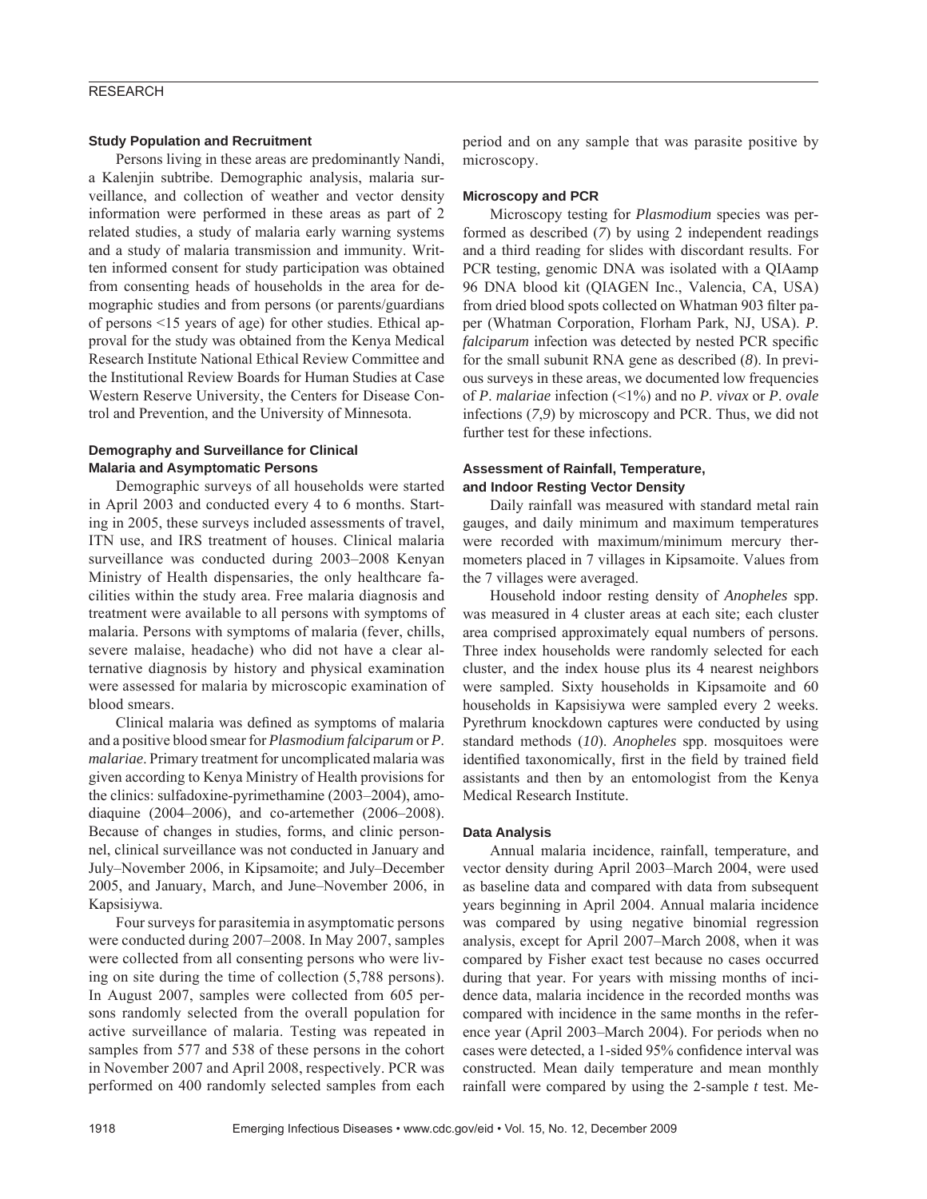#### **Study Population and Recruitment**

Persons living in these areas are predominantly Nandi, a Kalenjin subtribe. Demographic analysis, malaria surveillance, and collection of weather and vector density information were performed in these areas as part of 2 related studies, a study of malaria early warning systems and a study of malaria transmission and immunity. Written informed consent for study participation was obtained from consenting heads of households in the area for demographic studies and from persons (or parents/guardians of persons <15 years of age) for other studies. Ethical approval for the study was obtained from the Kenya Medical Research Institute National Ethical Review Committee and the Institutional Review Boards for Human Studies at Case Western Reserve University, the Centers for Disease Control and Prevention, and the University of Minnesota.

## **Demography and Surveillance for Clinical Malaria and Asymptomatic Persons**

Demographic surveys of all households were started in April 2003 and conducted every 4 to 6 months. Starting in 2005, these surveys included assessments of travel, ITN use, and IRS treatment of houses. Clinical malaria surveillance was conducted during 2003–2008 Kenyan Ministry of Health dispensaries, the only healthcare facilities within the study area. Free malaria diagnosis and treatment were available to all persons with symptoms of malaria. Persons with symptoms of malaria (fever, chills, severe malaise, headache) who did not have a clear alternative diagnosis by history and physical examination were assessed for malaria by microscopic examination of blood smears.

Clinical malaria was defined as symptoms of malaria and a positive blood smear for *Plasmodium falciparum* or *P*. *malariae*. Primary treatment for uncomplicated malaria was given according to Kenya Ministry of Health provisions for the clinics: sulfadoxine-pyrimethamine (2003–2004), amodiaquine (2004–2006), and co-artemether (2006–2008). Because of changes in studies, forms, and clinic personnel, clinical surveillance was not conducted in January and July–November 2006, in Kipsamoite; and July–December 2005, and January, March, and June–November 2006, in Kapsisiywa.

Four surveys for parasitemia in asymptomatic persons were conducted during 2007–2008. In May 2007, samples were collected from all consenting persons who were living on site during the time of collection (5,788 persons). In August 2007, samples were collected from 605 persons randomly selected from the overall population for active surveillance of malaria. Testing was repeated in samples from 577 and 538 of these persons in the cohort in November 2007 and April 2008, respectively. PCR was performed on 400 randomly selected samples from each period and on any sample that was parasite positive by microscopy.

#### **Microscopy and PCR**

Microscopy testing for *Plasmodium* species was performed as described (*7*) by using 2 independent readings and a third reading for slides with discordant results. For PCR testing, genomic DNA was isolated with a QIAamp 96 DNA blood kit (QIAGEN Inc., Valencia, CA, USA) from dried blood spots collected on Whatman 903 filter paper (Whatman Corporation, Florham Park, NJ, USA). *P*. *falciparum* infection was detected by nested PCR specific for the small subunit RNA gene as described (*8*). In previous surveys in these areas, we documented low frequencies of *P*. *malariae* infection (<1%) and no *P*. *vivax* or *P*. *ovale* infections (*7*,*9*) by microscopy and PCR. Thus, we did not further test for these infections.

## **Assessment of Rainfall, Temperature, and Indoor Resting Vector Density**

Daily rainfall was measured with standard metal rain gauges, and daily minimum and maximum temperatures were recorded with maximum/minimum mercury thermometers placed in 7 villages in Kipsamoite. Values from the 7 villages were averaged.

Household indoor resting density of *Anopheles* spp. was measured in 4 cluster areas at each site; each cluster area comprised approximately equal numbers of persons. Three index households were randomly selected for each cluster, and the index house plus its 4 nearest neighbors were sampled. Sixty households in Kipsamoite and 60 households in Kapsisiywa were sampled every 2 weeks. Pyrethrum knockdown captures were conducted by using standard methods (*10*). *Anopheles* spp. mosquitoes were identified taxonomically, first in the field by trained field assistants and then by an entomologist from the Kenya Medical Research Institute.

#### **Data Analysis**

Annual malaria incidence, rainfall, temperature, and vector density during April 2003–March 2004, were used as baseline data and compared with data from subsequent years beginning in April 2004. Annual malaria incidence was compared by using negative binomial regression analysis, except for April 2007–March 2008, when it was compared by Fisher exact test because no cases occurred during that year. For years with missing months of incidence data, malaria incidence in the recorded months was compared with incidence in the same months in the reference year (April 2003–March 2004). For periods when no cases were detected, a 1-sided 95% confidence interval was constructed. Mean daily temperature and mean monthly rainfall were compared by using the 2-sample *t* test. Me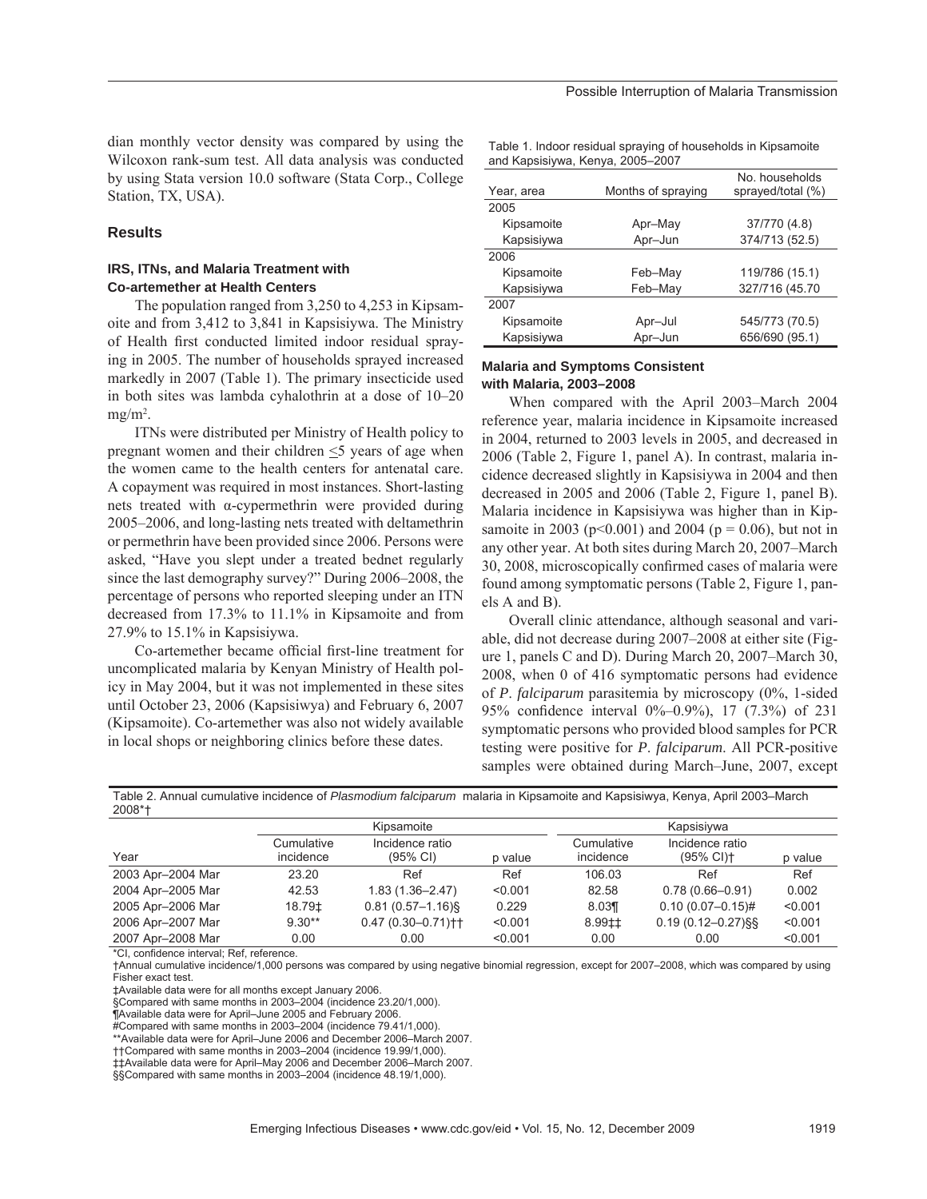dian monthly vector density was compared by using the Wilcoxon rank-sum test. All data analysis was conducted by using Stata version 10.0 software (Stata Corp., College Station, TX, USA).

## **Results**

## **IRS, ITNs, and Malaria Treatment with Co-artemether at Health Centers**

The population ranged from 3,250 to 4,253 in Kipsamoite and from 3,412 to 3,841 in Kapsisiywa. The Ministry of Health first conducted limited indoor residual spraying in 2005. The number of households sprayed increased markedly in 2007 (Table 1). The primary insecticide used in both sites was lambda cyhalothrin at a dose of 10–20  $mg/m<sup>2</sup>$ .

ITNs were distributed per Ministry of Health policy to pregnant women and their children  $\leq$ 5 years of age when the women came to the health centers for antenatal care. A copayment was required in most instances. Short-lasting nets treated with α-cypermethrin were provided during 2005–2006, and long-lasting nets treated with deltamethrin or permethrin have been provided since 2006. Persons were asked, "Have you slept under a treated bednet regularly since the last demography survey?" During 2006–2008, the percentage of persons who reported sleeping under an ITN decreased from 17.3% to 11.1% in Kipsamoite and from 27.9% to 15.1% in Kapsisiywa.

Co-artemether became official first-line treatment for uncomplicated malaria by Kenyan Ministry of Health policy in May 2004, but it was not implemented in these sites until October 23, 2006 (Kapsisiwya) and February 6, 2007 (Kipsamoite). Co-artemether was also not widely available in local shops or neighboring clinics before these dates.

Table 1. Indoor residual spraying of households in Kipsamoite and Kapsisiywa, Kenya, 2005–2007

| Year, area | Months of spraying | No. households<br>sprayed/total (%) |
|------------|--------------------|-------------------------------------|
| 2005       |                    |                                     |
| Kipsamoite | Apr-May            | 37/770 (4.8)                        |
| Kapsisiywa | Apr-Jun            | 374/713 (52.5)                      |
| 2006       |                    |                                     |
| Kipsamoite | Feb-May            | 119/786 (15.1)                      |
| Kapsisiywa | Feb-May            | 327/716 (45.70                      |
| 2007       |                    |                                     |
| Kipsamoite | Apr-Jul            | 545/773 (70.5)                      |
| Kapsisiywa | Apr-Jun            | 656/690 (95.1)                      |

## **Malaria and Symptoms Consistent with Malaria, 2003–2008**

When compared with the April 2003–March 2004 reference year, malaria incidence in Kipsamoite increased in 2004, returned to 2003 levels in 2005, and decreased in 2006 (Table 2, Figure 1, panel A). In contrast, malaria incidence decreased slightly in Kapsisiywa in 2004 and then decreased in 2005 and 2006 (Table 2, Figure 1, panel B). Malaria incidence in Kapsisiywa was higher than in Kipsamoite in 2003 ( $p<0.001$ ) and 2004 ( $p = 0.06$ ), but not in any other year. At both sites during March 20, 2007–March 30, 2008, microscopically confirmed cases of malaria were found among symptomatic persons (Table 2, Figure 1, panels A and B).

Overall clinic attendance, although seasonal and variable, did not decrease during 2007–2008 at either site (Figure 1, panels C and D). During March 20, 2007–March 30, 2008, when 0 of 416 symptomatic persons had evidence of *P*. *falciparum* parasitemia by microscopy (0%, 1-sided 95% confidence interval  $0\%-0.9\%$ , 17 (7.3%) of 231 symptomatic persons who provided blood samples for PCR testing were positive for *P*. *falciparum*. All PCR-positive samples were obtained during March–June, 2007, except

| LUUU              |                         |                                   |            |                         |                                        |         |
|-------------------|-------------------------|-----------------------------------|------------|-------------------------|----------------------------------------|---------|
|                   | Kipsamoite              |                                   | Kapsisiywa |                         |                                        |         |
| Year              | Cumulative<br>incidence | Incidence ratio<br>(95% CI)       | p value    | Cumulative<br>incidence | Incidence ratio<br>$(95\% \text{ Cl})$ | p value |
| 2003 Apr-2004 Mar | 23.20                   | Ref                               | Ref        | 106.03                  | Ref                                    | Ref     |
| 2004 Apr-2005 Mar | 42.53                   | $1.83(1.36 - 2.47)$               | < 0.001    | 82.58                   | $0.78(0.66 - 0.91)$                    | 0.002   |
| 2005 Apr-2006 Mar | 18.79‡                  | $0.81(0.57 - 1.16)$               | 0.229      | 8.03                    | $0.10(0.07 - 0.15)$ #                  | < 0.001 |
| 2006 Apr-2007 Mar | $9.30**$                | $0.47(0.30 - 0.71)$ <sup>++</sup> | < 0.001    | $8.99 \pm 1$            | $0.19(0.12 - 0.27)$ §§                 | < 0.001 |
| 2007 Apr-2008 Mar | 0.00                    | 0.00                              | < 0.001    | 0.00                    | 0.00                                   | < 0.001 |

Table 2. Annual cumulative incidence of *Plasmodium falciparum* malaria in Kipsamoite and Kapsisiwya, Kenya, April 2003–March 2008\*†

\*CI, confidence interval; Ref, reference.

†Annual cumulative incidence/1,000 persons was compared by using negative binomial regression, except for 2007–2008, which was compared by using Fisher exact test.

‡Available data were for all months except January 2006.

§Compared with same months in 2003–2004 (incidence 23.20/1,000).

¶Available data were for April–June 2005 and February 2006.

#Compared with same months in 2003-2004 (incidence 79.41/1,000).

\*\*Available data were for April–June 2006 and December 2006–March 2007.

††Compared with same months in 2003–2004 (incidence 19.99/1,000).

‡‡Available data were for April–May 2006 and December 2006–March 2007.

§§Compared with same months in 2003–2004 (incidence 48.19/1,000).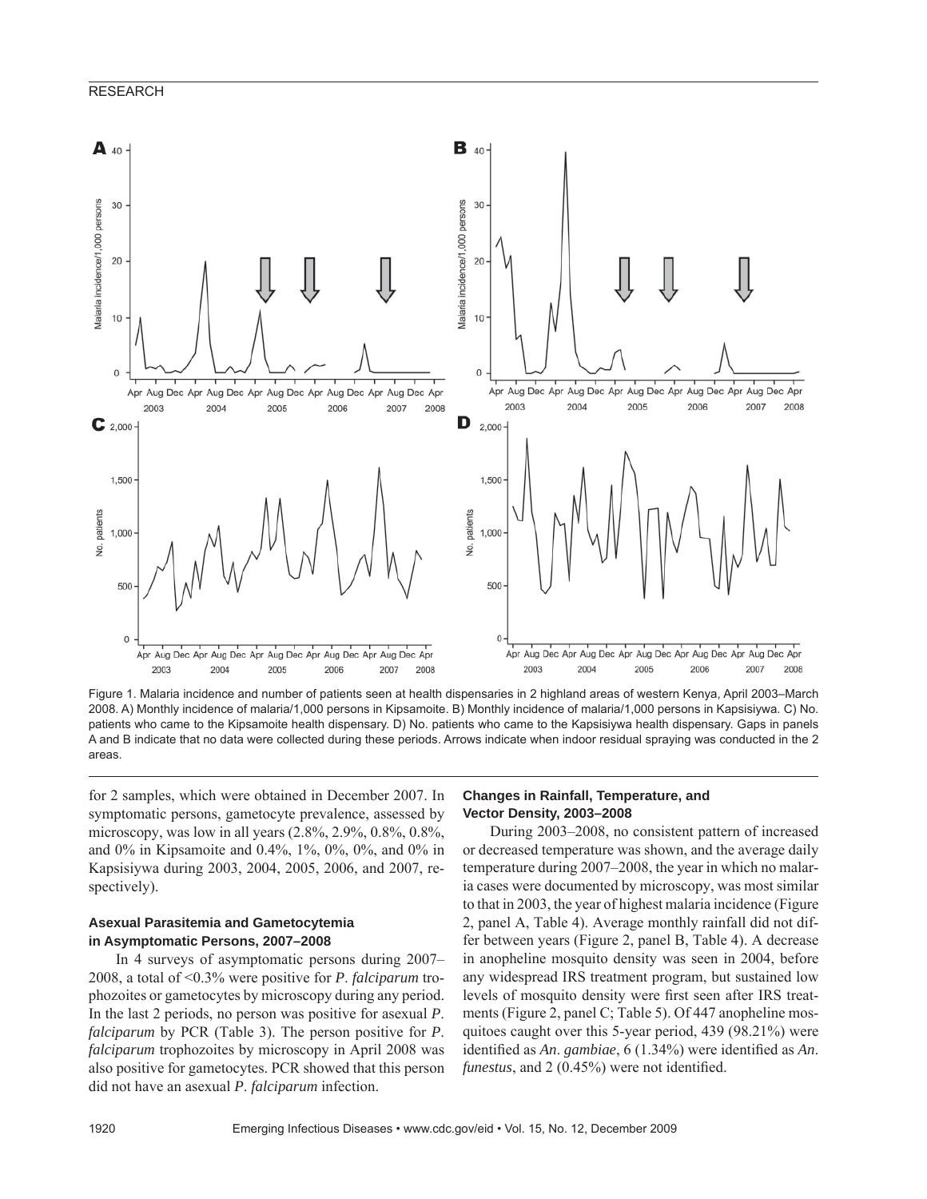

Figure 1. Malaria incidence and number of patients seen at health dispensaries in 2 highland areas of western Kenya, April 2003–March 2008. A) Monthly incidence of malaria/1,000 persons in Kipsamoite. B) Monthly incidence of malaria/1,000 persons in Kapsisiywa. C) No. patients who came to the Kipsamoite health dispensary. D) No. patients who came to the Kapsisiywa health dispensary. Gaps in panels A and B indicate that no data were collected during these periods. Arrows indicate when indoor residual spraying was conducted in the 2 areas.

for 2 samples, which were obtained in December 2007. In symptomatic persons, gametocyte prevalence, assessed by microscopy, was low in all years (2.8%, 2.9%, 0.8%, 0.8%, and 0% in Kipsamoite and 0.4%, 1%, 0%, 0%, and 0% in Kapsisiywa during 2003, 2004, 2005, 2006, and 2007, respectively).

## **Asexual Parasitemia and Gametocytemia in Asymptomatic Persons, 2007–2008**

In 4 surveys of asymptomatic persons during 2007– 2008, a total of <0.3% were positive for *P*. *falciparum* trophozoites or gametocytes by microscopy during any period. In the last 2 periods, no person was positive for asexual *P*. *falciparum* by PCR (Table 3). The person positive for *P*. *falciparum* trophozoites by microscopy in April 2008 was also positive for gametocytes. PCR showed that this person did not have an asexual *P*. *falciparum* infection.

#### **Changes in Rainfall, Temperature, and Vector Density, 2003–2008**

During 2003–2008, no consistent pattern of increased or decreased temperature was shown, and the average daily temperature during 2007–2008, the year in which no malaria cases were documented by microscopy, was most similar to that in 2003, the year of highest malaria incidence (Figure 2, panel A, Table 4). Average monthly rainfall did not differ between years (Figure 2, panel B, Table 4). A decrease in anopheline mosquito density was seen in 2004, before any widespread IRS treatment program, but sustained low levels of mosquito density were first seen after IRS treatments (Figure 2, panel C; Table 5). Of 447 anopheline mosquitoes caught over this 5-year period, 439 (98.21%) were identified as *An*. *gambiae*, 6 (1.34%) were identified as *An*. *funestus*, and 2 (0.45%) were not identified.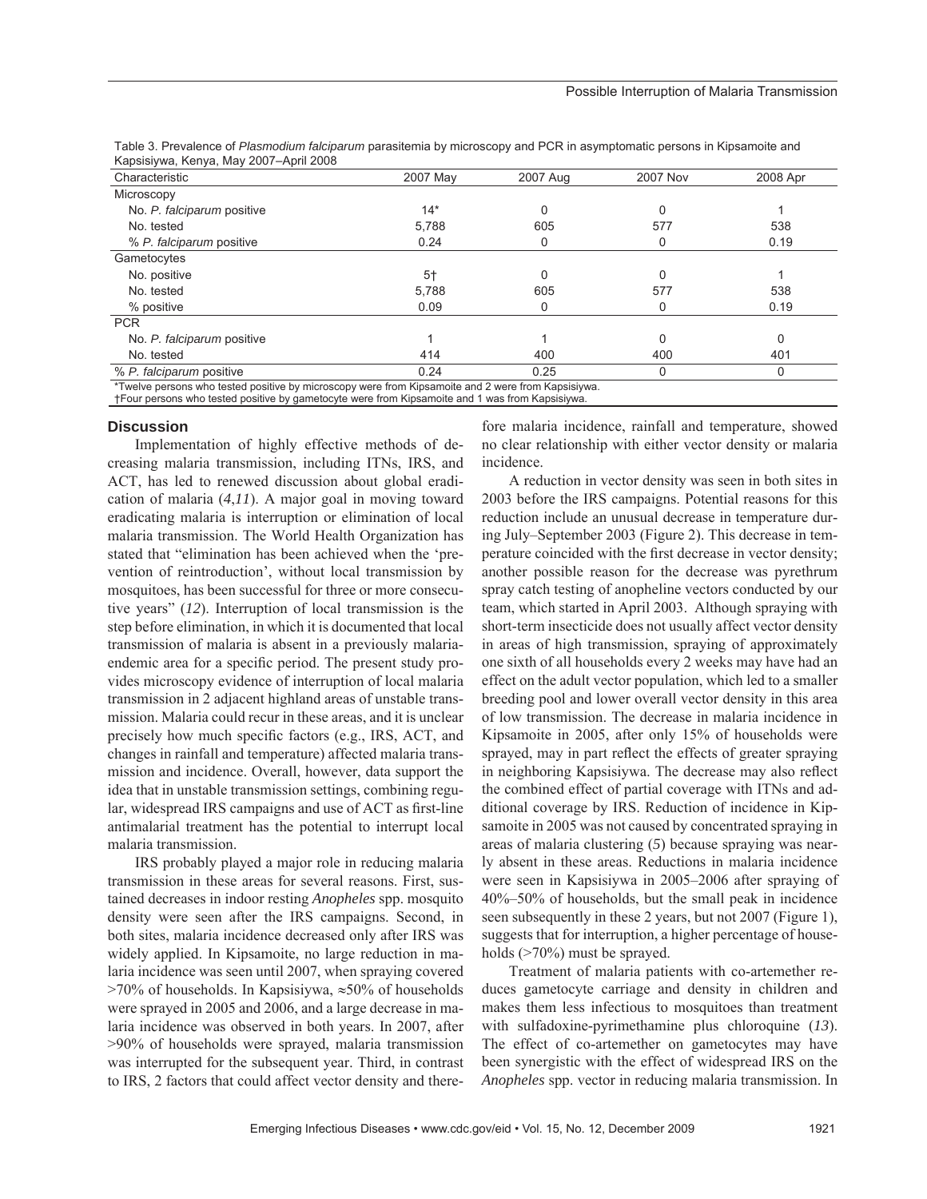| Characteristic             | 2007 May | 2007 Aug | <b>2007 Nov</b> | 2008 Apr |
|----------------------------|----------|----------|-----------------|----------|
| Microscopy                 |          |          |                 |          |
| No. P. falciparum positive | $14*$    | 0        |                 |          |
| No. tested                 | 5,788    | 605      | 577             | 538      |
| % P. falciparum positive   | 0.24     | 0        |                 | 0.19     |
| Gametocytes                |          |          |                 |          |
| No. positive               | $5+$     | 0        |                 |          |
| No. tested                 | 5,788    | 605      | 577             | 538      |
| % positive                 | 0.09     | 0        |                 | 0.19     |
| <b>PCR</b>                 |          |          |                 |          |
| No. P. falciparum positive |          |          | O               | U        |
| No. tested                 | 414      | 400      | 400             | 401      |
| % P. falciparum positive   | 0.24     | 0.25     | $\Omega$        |          |

Table 3. Prevalence of *Plasmodium falciparum* parasitemia by microscopy and PCR in asymptomatic persons in Kipsamoite and Kapsisiywa, Kenya, May 2007–April 2008

\*Twelve persons who tested positive by microscopy were from Kipsamoite and 2 were from Kapsisiywa.

†Four persons who tested positive by gametocyte were from Kipsamoite and 1 was from Kapsisiywa.

#### **Discussion**

Implementation of highly effective methods of decreasing malaria transmission, including ITNs, IRS, and ACT, has led to renewed discussion about global eradication of malaria (*4*,*11*). A major goal in moving toward eradicating malaria is interruption or elimination of local malaria transmission. The World Health Organization has stated that "elimination has been achieved when the 'prevention of reintroduction', without local transmission by mosquitoes, has been successful for three or more consecutive years" (*12*). Interruption of local transmission is the step before elimination, in which it is documented that local transmission of malaria is absent in a previously malariaendemic area for a specific period. The present study provides microscopy evidence of interruption of local malaria transmission in 2 adjacent highland areas of unstable transmission. Malaria could recur in these areas, and it is unclear precisely how much specific factors (e.g., IRS, ACT, and changes in rainfall and temperature) affected malaria transmission and incidence. Overall, however, data support the idea that in unstable transmission settings, combining regular, widespread IRS campaigns and use of ACT as first-line antimalarial treatment has the potential to interrupt local malaria transmission.

IRS probably played a major role in reducing malaria transmission in these areas for several reasons. First, sustained decreases in indoor resting *Anopheles* spp. mosquito density were seen after the IRS campaigns. Second, in both sites, malaria incidence decreased only after IRS was widely applied. In Kipsamoite, no large reduction in malaria incidence was seen until 2007, when spraying covered >70% of households. In Kapsisiywa, ≈50% of households were sprayed in 2005 and 2006, and a large decrease in malaria incidence was observed in both years. In 2007, after >90% of households were sprayed, malaria transmission was interrupted for the subsequent year. Third, in contrast to IRS, 2 factors that could affect vector density and there-

fore malaria incidence, rainfall and temperature, showed no clear relationship with either vector density or malaria incidence.

A reduction in vector density was seen in both sites in 2003 before the IRS campaigns. Potential reasons for this reduction include an unusual decrease in temperature during July–September 2003 (Figure 2). This decrease in temperature coincided with the first decrease in vector density; another possible reason for the decrease was pyrethrum spray catch testing of anopheline vectors conducted by our team, which started in April 2003. Although spraying with short-term insecticide does not usually affect vector density in areas of high transmission, spraying of approximately one sixth of all households every 2 weeks may have had an effect on the adult vector population, which led to a smaller breeding pool and lower overall vector density in this area of low transmission. The decrease in malaria incidence in Kipsamoite in 2005, after only 15% of households were sprayed, may in part reflect the effects of greater spraying in neighboring Kapsisiywa. The decrease may also reflect the combined effect of partial coverage with ITNs and additional coverage by IRS. Reduction of incidence in Kipsamoite in 2005 was not caused by concentrated spraying in areas of malaria clustering (*5*) because spraying was nearly absent in these areas. Reductions in malaria incidence were seen in Kapsisiywa in 2005–2006 after spraying of 40%–50% of households, but the small peak in incidence seen subsequently in these 2 years, but not 2007 (Figure 1), suggests that for interruption, a higher percentage of households (>70%) must be sprayed.

Treatment of malaria patients with co-artemether reduces gametocyte carriage and density in children and makes them less infectious to mosquitoes than treatment with sulfadoxine-pyrimethamine plus chloroquine (*13*). The effect of co-artemether on gametocytes may have been synergistic with the effect of widespread IRS on the *Anopheles* spp. vector in reducing malaria transmission. In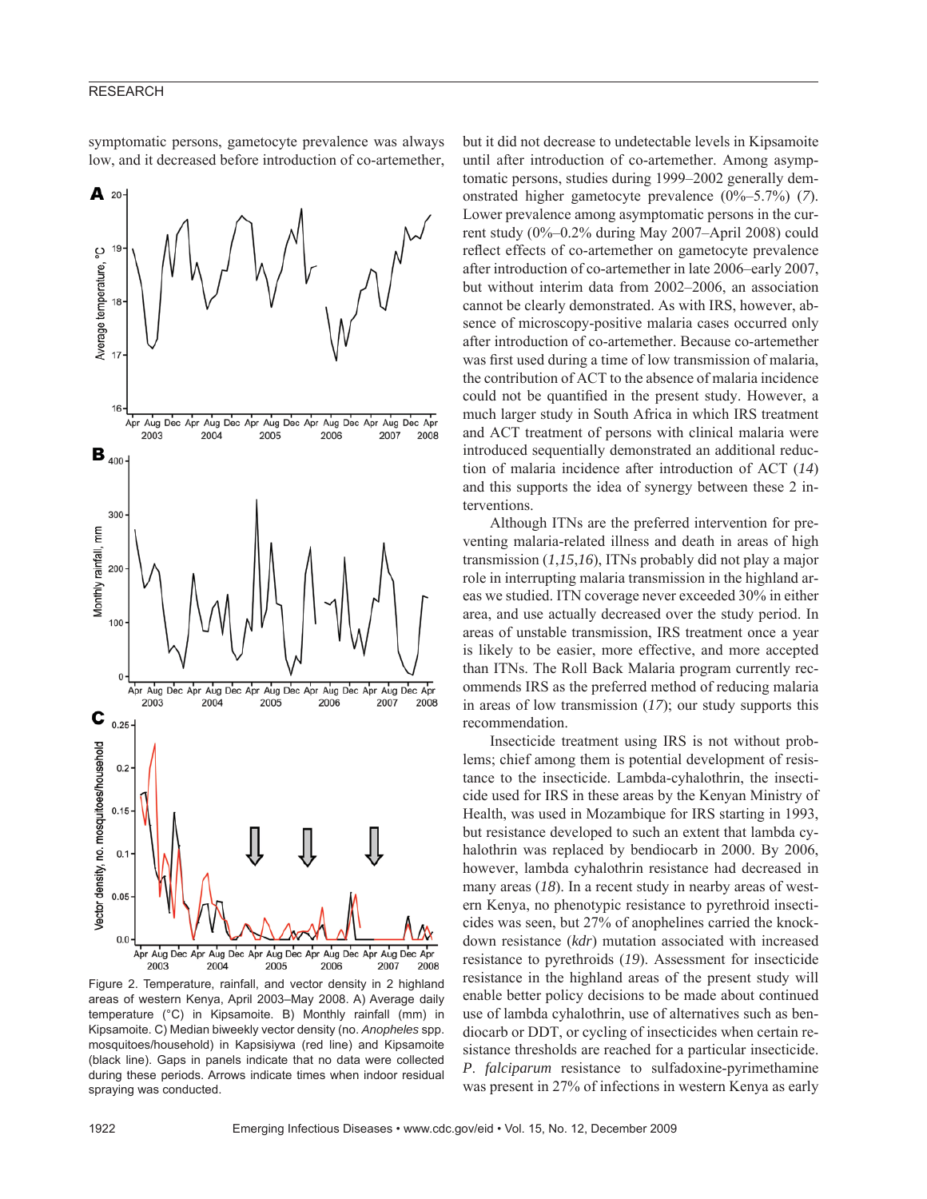symptomatic persons, gametocyte prevalence was always low, and it decreased before introduction of co-artemether,



Figure 2. Temperature, rainfall, and vector density in 2 highland areas of western Kenya, April 2003–May 2008. A) Average daily temperature (°C) in Kipsamoite. B) Monthly rainfall (mm) in Kipsamoite. C) Median biweekly vector density (no. *Anopheles* spp. mosquitoes/household) in Kapsisiywa (red line) and Kipsamoite (black line). Gaps in panels indicate that no data were collected during these periods. Arrows indicate times when indoor residual spraying was conducted.

but it did not decrease to undetectable levels in Kipsamoite until after introduction of co-artemether. Among asymptomatic persons, studies during 1999–2002 generally demonstrated higher gametocyte prevalence (0%–5.7%) (*7*). Lower prevalence among asymptomatic persons in the current study (0%–0.2% during May 2007–April 2008) could reflect effects of co-artemether on gametocyte prevalence after introduction of co-artemether in late 2006–early 2007, but without interim data from 2002–2006, an association cannot be clearly demonstrated. As with IRS, however, absence of microscopy-positive malaria cases occurred only after introduction of co-artemether. Because co-artemether was first used during a time of low transmission of malaria, the contribution of ACT to the absence of malaria incidence could not be quantified in the present study. However, a much larger study in South Africa in which IRS treatment and ACT treatment of persons with clinical malaria were introduced sequentially demonstrated an additional reduction of malaria incidence after introduction of ACT (*14*) and this supports the idea of synergy between these 2 interventions.

Although ITNs are the preferred intervention for preventing malaria-related illness and death in areas of high transmission (*1*,*15*,*16*), ITNs probably did not play a major role in interrupting malaria transmission in the highland areas we studied. ITN coverage never exceeded 30% in either area, and use actually decreased over the study period. In areas of unstable transmission, IRS treatment once a year is likely to be easier, more effective, and more accepted than ITNs. The Roll Back Malaria program currently recommends IRS as the preferred method of reducing malaria in areas of low transmission (*17*); our study supports this recommendation.

Insecticide treatment using IRS is not without problems; chief among them is potential development of resistance to the insecticide. Lambda-cyhalothrin, the insecticide used for IRS in these areas by the Kenyan Ministry of Health, was used in Mozambique for IRS starting in 1993, but resistance developed to such an extent that lambda cyhalothrin was replaced by bendiocarb in 2000. By 2006, however, lambda cyhalothrin resistance had decreased in many areas (*18*). In a recent study in nearby areas of western Kenya, no phenotypic resistance to pyrethroid insecticides was seen, but 27% of anophelines carried the knockdown resistance (*kdr*) mutation associated with increased resistance to pyrethroids (*19*). Assessment for insecticide resistance in the highland areas of the present study will enable better policy decisions to be made about continued use of lambda cyhalothrin, use of alternatives such as bendiocarb or DDT, or cycling of insecticides when certain resistance thresholds are reached for a particular insecticide. *P*. *falciparum* resistance to sulfadoxine-pyrimethamine was present in 27% of infections in western Kenya as early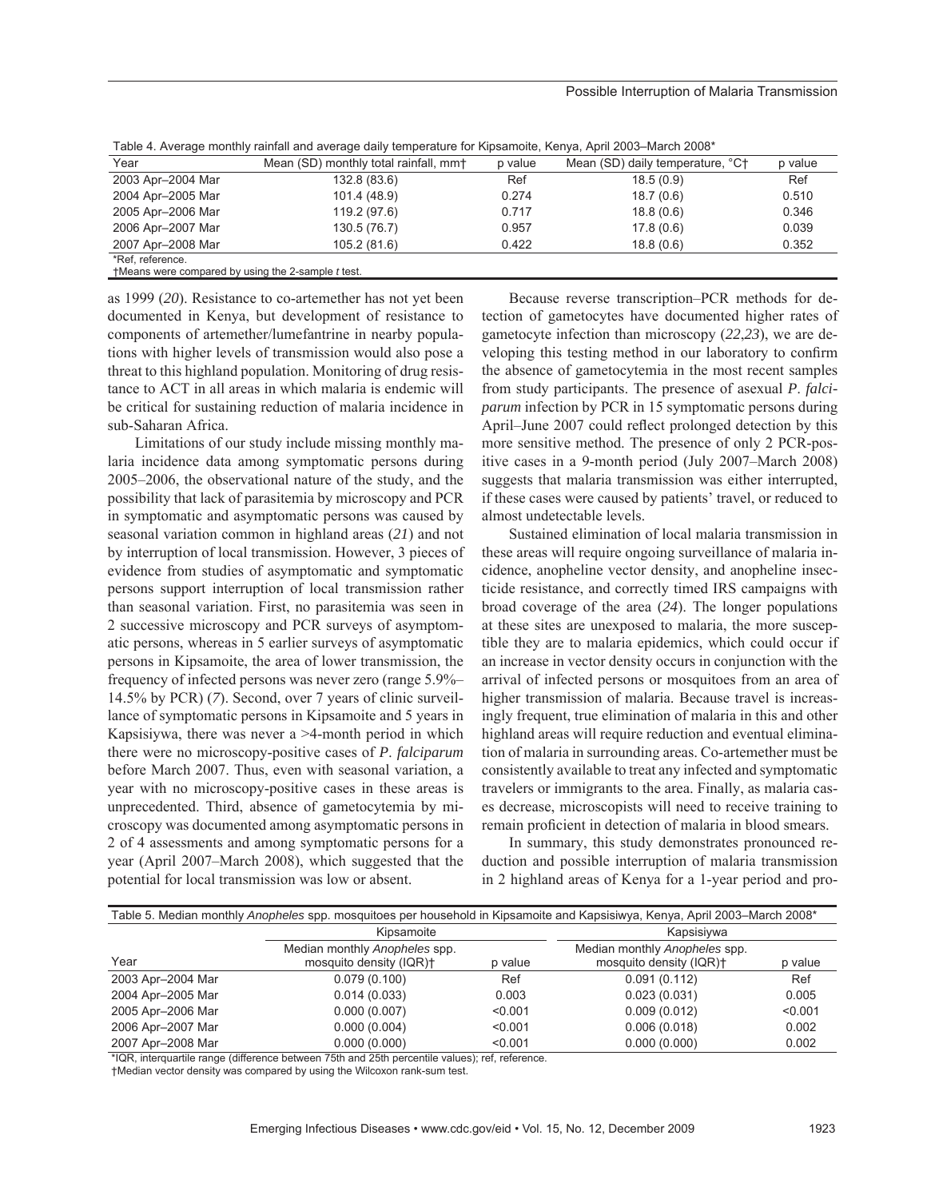#### Possible Interruption of Malaria Transmission

| Table 4. Average monthly ramial and average daily temperature for Kipsamolte, Kenya, Aphi 2003–March 2006 |                                                   |         |                                  |         |  |  |
|-----------------------------------------------------------------------------------------------------------|---------------------------------------------------|---------|----------------------------------|---------|--|--|
| Year                                                                                                      | Mean (SD) monthly total rainfall, mm <sup>+</sup> | p value | Mean (SD) daily temperature, °C+ | p value |  |  |
| 2003 Apr-2004 Mar                                                                                         | 132.8 (83.6)                                      | Ref     | 18.5(0.9)                        | Ref     |  |  |
| 2004 Apr-2005 Mar                                                                                         | 101.4 (48.9)                                      | 0.274   | 18.7(0.6)                        | 0.510   |  |  |
| 2005 Apr-2006 Mar                                                                                         | 119.2 (97.6)                                      | 0.717   | 18.8(0.6)                        | 0.346   |  |  |
| 2006 Apr-2007 Mar                                                                                         | 130.5 (76.7)                                      | 0.957   | 17.8(0.6)                        | 0.039   |  |  |
| 2007 Apr-2008 Mar                                                                                         | 105.2 (81.6)                                      | 0.422   | 18.8(0.6)                        | 0.352   |  |  |
| *Ref. reference.                                                                                          |                                                   |         |                                  |         |  |  |
| tMeans were compared by using the 2-sample t test.                                                        |                                                   |         |                                  |         |  |  |

Table 4. Average monthly rainfall and average daily temperature for Kipsamoite, Kenya, April 2003–March 2008\*

as 1999 (*20*). Resistance to co-artemether has not yet been documented in Kenya, but development of resistance to components of artemether/lumefantrine in nearby populations with higher levels of transmission would also pose a threat to this highland population. Monitoring of drug resistance to ACT in all areas in which malaria is endemic will be critical for sustaining reduction of malaria incidence in sub-Saharan Africa.

Limitations of our study include missing monthly malaria incidence data among symptomatic persons during 2005–2006, the observational nature of the study, and the possibility that lack of parasitemia by microscopy and PCR in symptomatic and asymptomatic persons was caused by seasonal variation common in highland areas (*21*) and not by interruption of local transmission. However, 3 pieces of evidence from studies of asymptomatic and symptomatic persons support interruption of local transmission rather than seasonal variation. First, no parasitemia was seen in 2 successive microscopy and PCR surveys of asymptomatic persons, whereas in 5 earlier surveys of asymptomatic persons in Kipsamoite, the area of lower transmission, the frequency of infected persons was never zero (range 5.9%– 14.5% by PCR) (*7*). Second, over 7 years of clinic surveillance of symptomatic persons in Kipsamoite and 5 years in Kapsisiywa, there was never a >4-month period in which there were no microscopy-positive cases of *P*. *falciparum* before March 2007. Thus, even with seasonal variation, a year with no microscopy-positive cases in these areas is unprecedented. Third, absence of gametocytemia by microscopy was documented among asymptomatic persons in 2 of 4 assessments and among symptomatic persons for a year (April 2007–March 2008), which suggested that the potential for local transmission was low or absent.

Because reverse transcription–PCR methods for detection of gametocytes have documented higher rates of gametocyte infection than microscopy (*22*,*23*), we are developing this testing method in our laboratory to confirm the absence of gametocytemia in the most recent samples from study participants. The presence of asexual *P*. *falciparum* infection by PCR in 15 symptomatic persons during April–June 2007 could reflect prolonged detection by this more sensitive method. The presence of only 2 PCR-positive cases in a 9-month period (July 2007–March 2008) suggests that malaria transmission was either interrupted, if these cases were caused by patients' travel, or reduced to almost undetectable levels.

Sustained elimination of local malaria transmission in these areas will require ongoing surveillance of malaria incidence, anopheline vector density, and anopheline insecticide resistance, and correctly timed IRS campaigns with broad coverage of the area (*24*). The longer populations at these sites are unexposed to malaria, the more susceptible they are to malaria epidemics, which could occur if an increase in vector density occurs in conjunction with the arrival of infected persons or mosquitoes from an area of higher transmission of malaria. Because travel is increasingly frequent, true elimination of malaria in this and other highland areas will require reduction and eventual elimination of malaria in surrounding areas. Co-artemether must be consistently available to treat any infected and symptomatic travelers or immigrants to the area. Finally, as malaria cases decrease, microscopists will need to receive training to remain proficient in detection of malaria in blood smears.

In summary, this study demonstrates pronounced reduction and possible interruption of malaria transmission in 2 highland areas of Kenya for a 1-year period and pro-

| Table 5. Median monthly Anopheles spp. mosquitoes per household in Kipsamoite and Kapsisiwya, Kenya, April 2003–March 2008* |                                                          |         |                                                          |         |  |
|-----------------------------------------------------------------------------------------------------------------------------|----------------------------------------------------------|---------|----------------------------------------------------------|---------|--|
|                                                                                                                             | Kipsamoite                                               |         | Kapsisiywa                                               |         |  |
| Year                                                                                                                        | Median monthly Anopheles spp.<br>mosquito density (IQR)+ | p value | Median monthly Anopheles spp.<br>mosquito density (IQR)+ | p value |  |
| 2003 Apr-2004 Mar                                                                                                           | 0.079(0.100)                                             | Ref     | 0.091(0.112)                                             | Ref     |  |
| 2004 Apr-2005 Mar                                                                                                           | 0.014(0.033)                                             | 0.003   | 0.023(0.031)                                             | 0.005   |  |
| 2005 Apr-2006 Mar                                                                                                           | 0.000(0.007)                                             | < 0.001 | 0.009(0.012)                                             | < 0.001 |  |
| 2006 Apr-2007 Mar                                                                                                           | 0.000(0.004)                                             | < 0.001 | 0.006(0.018)                                             | 0.002   |  |
| 2007 Apr-2008 Mar                                                                                                           | 0.000(0.000)                                             | < 0.001 | 0.000(0.000)                                             | 0.002   |  |

\*IQR, interquartile range (difference between 75th and 25th percentile values); ref, reference.

†Median vector density was compared by using the Wilcoxon rank-sum test.